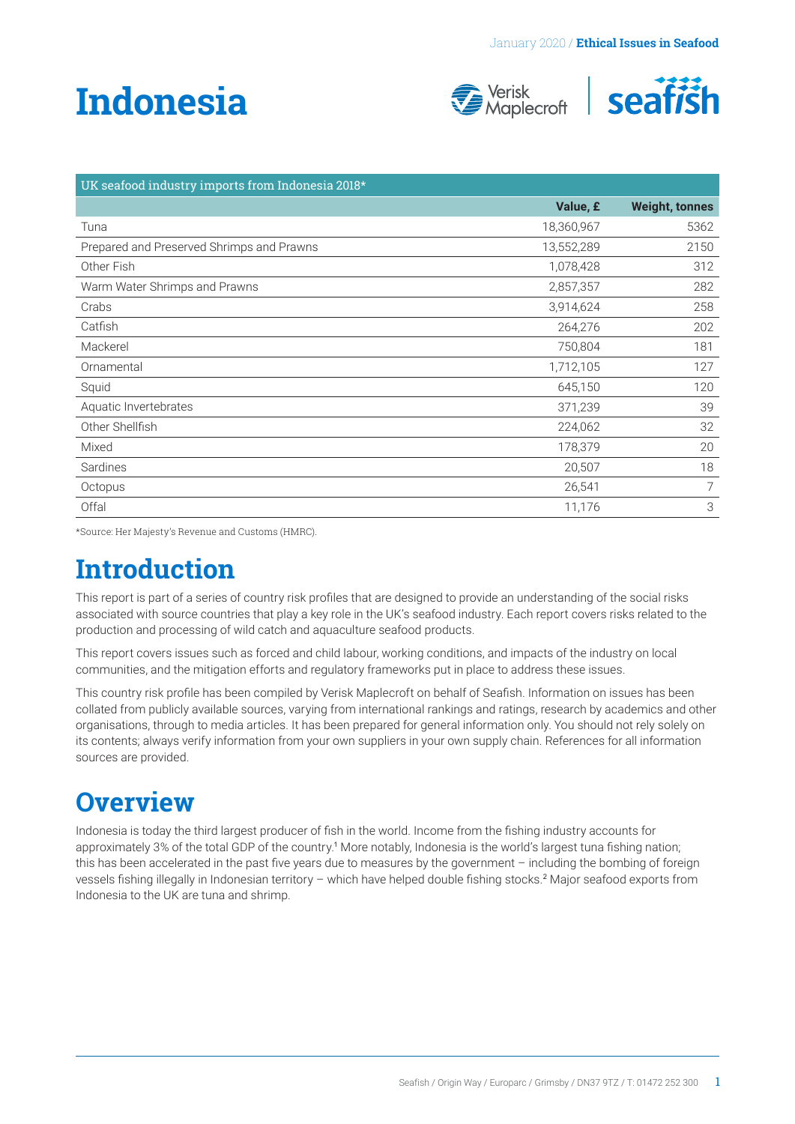# <span id="page-0-0"></span>**Indonesia**





| UK seafood industry imports from Indonesia 2018* |            |                       |
|--------------------------------------------------|------------|-----------------------|
|                                                  | Value, £   | <b>Weight, tonnes</b> |
| Tuna                                             | 18,360,967 | 5362                  |
| Prepared and Preserved Shrimps and Prawns        | 13,552,289 | 2150                  |
| Other Fish                                       | 1,078,428  | 312                   |
| Warm Water Shrimps and Prawns                    | 2,857,357  | 282                   |
| Crabs                                            | 3,914,624  | 258                   |
| Catfish                                          | 264,276    | 202                   |
| Mackerel                                         | 750,804    | 181                   |
| Ornamental                                       | 1,712,105  | 127                   |
| Squid                                            | 645,150    | 120                   |
| Aquatic Invertebrates                            | 371,239    | 39                    |
| Other Shellfish                                  | 224,062    | 32                    |
| Mixed                                            | 178,379    | 20                    |
| Sardines                                         | 20,507     | 18                    |
| Octopus                                          | 26,541     | $\overline{7}$        |
| Offal                                            | 11,176     | 3                     |

\*Source: Her Majesty's Revenue and Customs (HMRC).

# **Introduction**

This report is part of a series of country risk profiles that are designed to provide an understanding of the social risks associated with source countries that play a key role in the UK's seafood industry. Each report covers risks related to the production and processing of wild catch and aquaculture seafood products.

This report covers issues such as forced and child labour, working conditions, and impacts of the industry on local communities, and the mitigation efforts and regulatory frameworks put in place to address these issues.

This country risk profile has been compiled by Verisk Maplecroft on behalf of Seafish. Information on issues has been collated from publicly available sources, varying from international rankings and ratings, research by academics and other organisations, through to media articles. It has been prepared for general information only. You should not rely solely on its contents; always verify information from your own suppliers in your own supply chain. References for all information sources are provided.

# **Overview**

Indonesia is today the third largest producer of fish in the world. Income from the fishing industry accounts for approximately 3% of the total GDP of the country.[1](#page-4-0) More notably, Indonesia is the world's largest tuna fishing nation; this has been accelerated in the past five years due to measures by the government – including the bombing of foreign vessels fishing illegally in Indonesian territory – which have helped double fishing stocks.[2](#page-4-0) Major seafood exports from Indonesia to the UK are tuna and shrimp.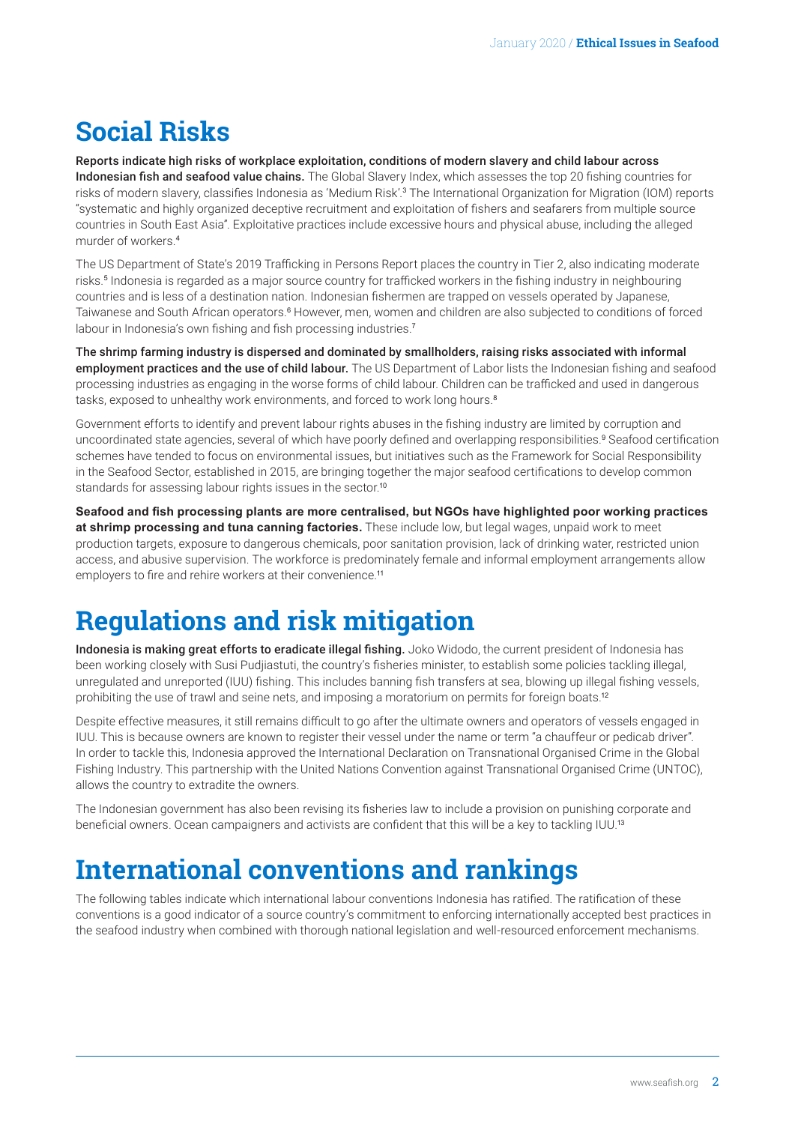# <span id="page-1-0"></span>**Social Risks**

Reports indicate high risks of workplace exploitation, conditions of modern slavery and child labour across Indonesian fish and seafood value chains. The Global Slavery Index, which assesses the top 20 fishing countries for risks of modern slavery, classifies Indonesia as 'Medium Risk'.<sup>[3](#page-4-0)</sup> The International Organization for Migration (IOM) reports "systematic and highly organized deceptive recruitment and exploitation of fishers and seafarers from multiple source countries in South East Asia". Exploitative practices include excessive hours and physical abuse, including the alleged murder of workers.[4](#page-4-0)

The US Department of State's 2019 Trafficking in Persons Report places the country in Tier 2, also indicating moderate risks.<sup>[5](#page-4-0)</sup> Indonesia is regarded as a major source country for trafficked workers in the fishing industry in neighbouring countries and is less of a destination nation. Indonesian fishermen are trapped on vessels operated by Japanese, Taiwanese and South African operators.<sup>[6](#page-4-0)</sup> However, men, women and children are also subjected to conditions of forced labour in Indonesia's own fishing and fish processing industries.<sup>[7](#page-4-0)</sup>

The shrimp farming industry is dispersed and dominated by smallholders, raising risks associated with informal employment practices and the use of child labour. The US Department of Labor lists the Indonesian fishing and seafood processing industries as engaging in the worse forms of child labour. Children can be trafficked and used in dangerous tasks, exposed to unhealthy work environments, and forced to work long hours.<sup>[8](#page-4-0)</sup>

Government efforts to identify and prevent labour rights abuses in the fishing industry are limited by corruption and uncoordinated state agencies, several of which have poorly defined and overlapping responsibilities.<sup>[9](#page-4-0)</sup> Seafood certification schemes have tended to focus on environmental issues, but initiatives such as the Framework for Social Responsibility in the Seafood Sector, established in 2015, are bringing together the major seafood certifications to develop common standards for assessing labour rights issues in the sector.<sup>[10](#page-4-0)</sup>

**Seafood and fish processing plants are more centralised, but NGOs have highlighted poor working practices at shrimp processing and tuna canning factories.** These include low, but legal wages, unpaid work to meet production targets, exposure to dangerous chemicals, poor sanitation provision, lack of drinking water, restricted union access, and abusive supervision. The workforce is predominately female and informal employment arrangements allow employers to fire and rehire workers at their convenience.<sup>[11](#page-4-0)</sup>

# **Regulations and risk mitigation**

Indonesia is making great efforts to eradicate illegal fishing. Joko Widodo, the current president of Indonesia has been working closely with Susi Pudjiastuti, the country's fisheries minister, to establish some policies tackling illegal, unregulated and unreported (IUU) fishing. This includes banning fish transfers at sea, blowing up illegal fishing vessels, prohibiting the use of trawl and seine nets, and imposing a moratorium on permits for foreign boats.<sup>[12](#page-4-0)</sup>

Despite effective measures, it still remains difficult to go after the ultimate owners and operators of vessels engaged in IUU. This is because owners are known to register their vessel under the name or term "a chauffeur or pedicab driver". In order to tackle this, Indonesia approved the International Declaration on Transnational Organised Crime in the Global Fishing Industry. This partnership with the United Nations Convention against Transnational Organised Crime (UNTOC), allows the country to extradite the owners.

The Indonesian government has also been revising its fisheries law to include a provision on punishing corporate and beneficial owners. Ocean campaigners and activists are confident that this will be a key to tackling IUU.[13](#page-4-0)

# **International conventions and rankings**

The following tables indicate which international labour conventions Indonesia has ratified. The ratification of these conventions is a good indicator of a source country's commitment to enforcing internationally accepted best practices in the seafood industry when combined with thorough national legislation and well-resourced enforcement mechanisms.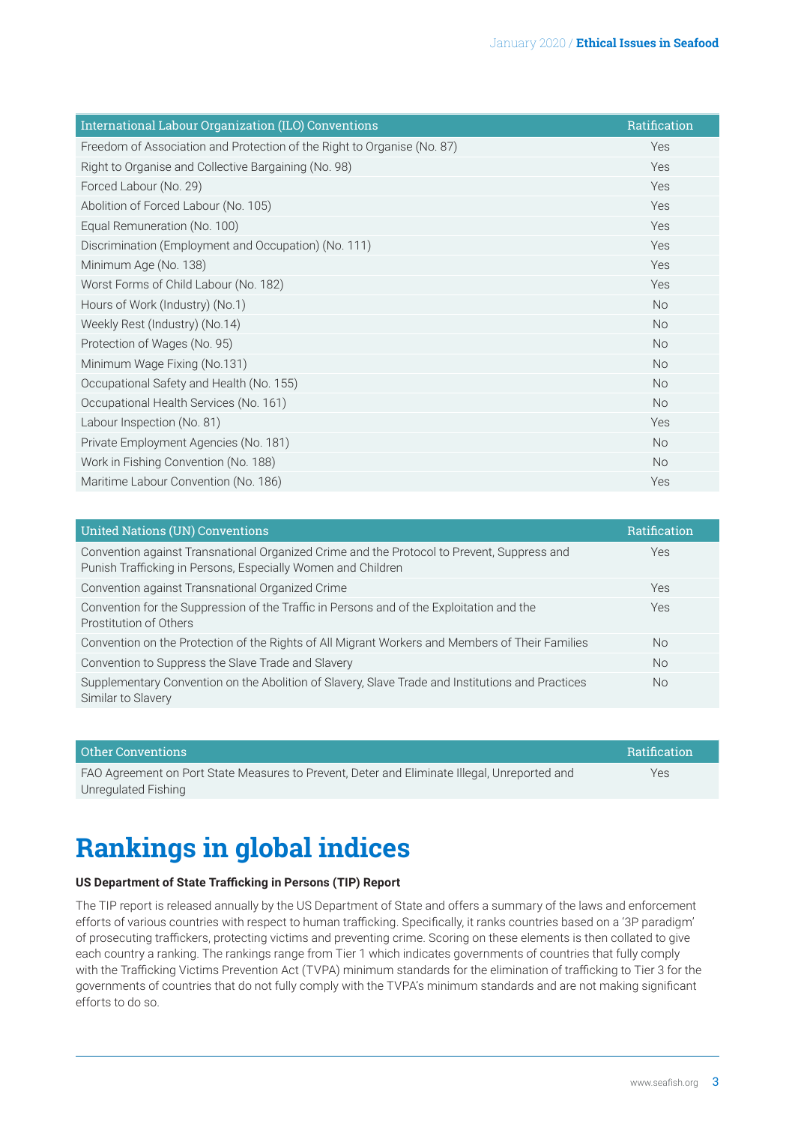| International Labour Organization (ILO) Conventions                     | Ratification |
|-------------------------------------------------------------------------|--------------|
| Freedom of Association and Protection of the Right to Organise (No. 87) | Yes          |
| Right to Organise and Collective Bargaining (No. 98)                    | Yes          |
| Forced Labour (No. 29)                                                  | Yes          |
| Abolition of Forced Labour (No. 105)                                    | Yes          |
| Equal Remuneration (No. 100)                                            | Yes          |
| Discrimination (Employment and Occupation) (No. 111)                    | Yes          |
| Minimum Age (No. 138)                                                   | Yes          |
| Worst Forms of Child Labour (No. 182)                                   | Yes          |
| Hours of Work (Industry) (No.1)                                         | <b>No</b>    |
| Weekly Rest (Industry) (No.14)                                          | <b>No</b>    |
| Protection of Wages (No. 95)                                            | <b>No</b>    |
| Minimum Wage Fixing (No.131)                                            | <b>No</b>    |
| Occupational Safety and Health (No. 155)                                | <b>No</b>    |
| Occupational Health Services (No. 161)                                  | <b>No</b>    |
| Labour Inspection (No. 81)                                              | Yes          |
| Private Employment Agencies (No. 181)                                   | <b>No</b>    |
| Work in Fishing Convention (No. 188)                                    | <b>No</b>    |
| Maritime Labour Convention (No. 186)                                    | Yes          |

| Ratification |
|--------------|
|              |
|              |
|              |
|              |
|              |
|              |
|              |

| Other Conventions                                                                            | Ratification |
|----------------------------------------------------------------------------------------------|--------------|
| FAO Agreement on Port State Measures to Prevent, Deter and Eliminate Illegal, Unreported and | Yes          |
| Unregulated Fishing                                                                          |              |

# **Rankings in global indices**

#### **US Department of State Trafficking in Persons (TIP) Report**

The TIP report is released annually by the US Department of State and offers a summary of the laws and enforcement efforts of various countries with respect to human trafficking. Specifically, it ranks countries based on a '3P paradigm' of prosecuting traffickers, protecting victims and preventing crime. Scoring on these elements is then collated to give each country a ranking. The rankings range from Tier 1 which indicates governments of countries that fully comply with the Trafficking Victims Prevention Act (TVPA) minimum standards for the elimination of trafficking to Tier 3 for the governments of countries that do not fully comply with the TVPA's minimum standards and are not making significant efforts to do so.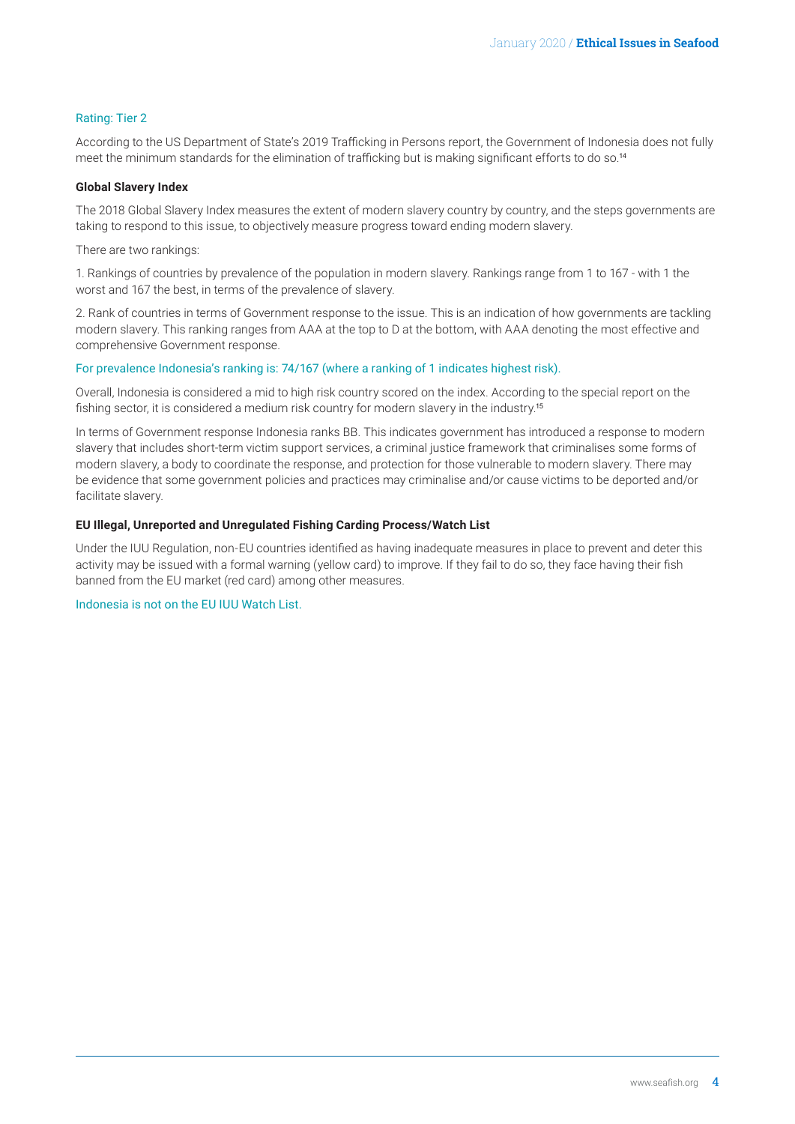#### <span id="page-3-0"></span>Rating: Tier 2

According to the US Department of State's 2019 Trafficking in Persons report, the Government of Indonesia does not fully meet the minimum standards for the elimination of trafficking but is making significant efforts to do so.<sup>[14](#page-4-0)</sup>

#### **Global Slavery Index**

The 2018 Global Slavery Index measures the extent of modern slavery country by country, and the steps governments are taking to respond to this issue, to objectively measure progress toward ending modern slavery.

There are two rankings:

1. Rankings of countries by prevalence of the population in modern slavery. Rankings range from 1 to 167 - with 1 the worst and 167 the best, in terms of the prevalence of slavery.

2. Rank of countries in terms of Government response to the issue. This is an indication of how governments are tackling modern slavery. This ranking ranges from AAA at the top to D at the bottom, with AAA denoting the most effective and comprehensive Government response.

#### For prevalence Indonesia's ranking is: 74/167 (where a ranking of 1 indicates highest risk).

Overall, Indonesia is considered a mid to high risk country scored on the index. According to the special report on the fishing sector, it is considered a medium risk country for modern slavery in the industry.<sup>[15](#page-4-0)</sup>

In terms of Government response Indonesia ranks BB. This indicates government has introduced a response to modern slavery that includes short-term victim support services, a criminal justice framework that criminalises some forms of modern slavery, a body to coordinate the response, and protection for those vulnerable to modern slavery. There may be evidence that some government policies and practices may criminalise and/or cause victims to be deported and/or facilitate slavery.

#### **EU Illegal, Unreported and Unregulated Fishing Carding Process/Watch List**

Under the IUU Regulation, non-EU countries identified as having inadequate measures in place to prevent and deter this activity may be issued with a formal warning (yellow card) to improve. If they fail to do so, they face having their fish banned from the EU market (red card) among other measures.

Indonesia is not on the EU IUU Watch List.